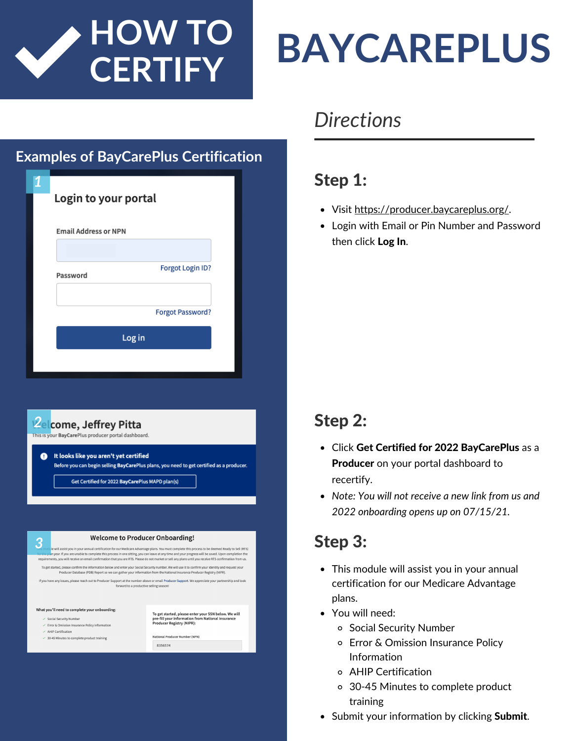

# **BAYCAREPLUS**

# **Examples of BayCarePlus Certification** *1* Login to your portal **Email Address or NPN** Forgot Login ID? Password **Forgot Password?** Log in



If you have any issues, please reach out to Producer Support at the number above or email Producer Support. We appreciate your partnership and look<br>forward to a productive selling season!

To get started, please enter your SSN below. We will<br>pre-fill your information from National Insurance<br>Producer Registry (NIPR):

National Producer Number (NPN)

8356574

#### What you'll need to complete your onboarding:

- $\checkmark$  Social Security Numbe
- $\checkmark$  Error & Omission Insurance Policy Information  $\angle$  AHIP Certification
- $\checkmark$  30-45 Minutes to complete product training

# *Directions*

# Step 1:

- Visit [https://producer.baycareplus.org/.](https://producer.baycareplus.org/)
- Login with Email or Pin Number and Password then click Log In.

# Step 2:

- Click Get Certified for 2022 BayCarePlus as a **Producer** on your portal dashboard to recertify.
- *Note: You will not receive a new link from us and 2022 onboarding opens up on 07/15/21.*

- This module will assist you in your annual certification for our Medicare Advantage plans.
- You will need:
	- o Social Security Number
	- Error & Omission Insurance Policy Information
	- AHIP Certification
	- 30-45 Minutes to complete product training
- Submit your information by clicking Submit.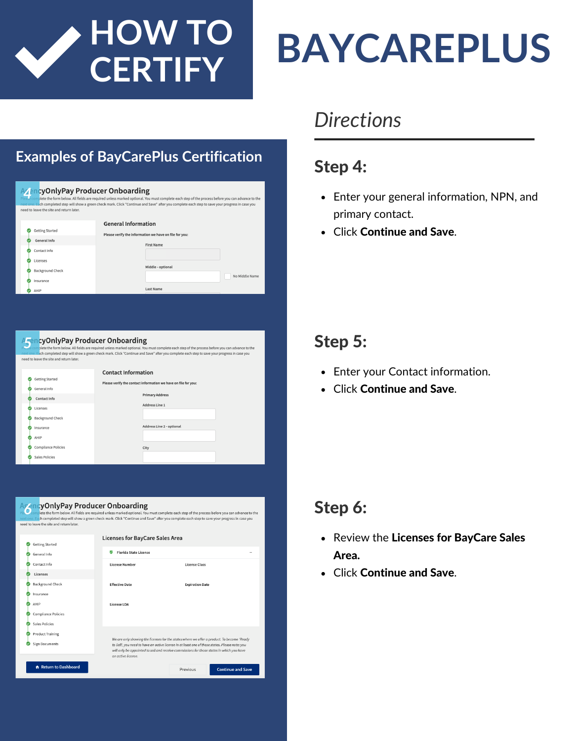

#### **Examples of BayCarePlus Certification**

|  | <b>ZencyOnlyPay Producer Onboarding</b><br>need to leave the site and return later. |                            | La complete the form below. All fields are required unless marked optional. You must complete each step of the process before you can advance to<br>next one. Each completed step will show a green check mark. Click "Continue and Save" after you complete each step to save your progress in case yor |              |
|--|-------------------------------------------------------------------------------------|----------------------------|----------------------------------------------------------------------------------------------------------------------------------------------------------------------------------------------------------------------------------------------------------------------------------------------------------|--------------|
|  |                                                                                     | <b>General Information</b> |                                                                                                                                                                                                                                                                                                          |              |
|  | <b>Getting Started</b>                                                              |                            | Please verify the information we have on file for you:                                                                                                                                                                                                                                                   |              |
|  | General Info                                                                        |                            | <b>First Name</b>                                                                                                                                                                                                                                                                                        |              |
|  | Contact Info.                                                                       |                            |                                                                                                                                                                                                                                                                                                          |              |
|  | Licenses                                                                            |                            |                                                                                                                                                                                                                                                                                                          |              |
|  | <b>Background Check</b>                                                             |                            | Middle - optional                                                                                                                                                                                                                                                                                        |              |
|  |                                                                                     |                            |                                                                                                                                                                                                                                                                                                          | No Middle Na |
|  | Insurance                                                                           |                            |                                                                                                                                                                                                                                                                                                          |              |
|  | AHIP                                                                                |                            | <b>Last Name</b>                                                                                                                                                                                                                                                                                         |              |
|  |                                                                                     |                            |                                                                                                                                                                                                                                                                                                          |              |
|  |                                                                                     |                            |                                                                                                                                                                                                                                                                                                          |              |
|  |                                                                                     |                            |                                                                                                                                                                                                                                                                                                          |              |



| <b>AgencyOnlyPay Producer Onboarding</b><br>need to leave the site and return later. |                                                                                                                                                                                             | complete the form below. All fields are required unless marked optional. You must complete each step of the process before you can advance to the<br>next one. Each completed step will show a green check mark. Click "Continue and Save" after you complete each step to save your progress in case you |  |  |  |
|--------------------------------------------------------------------------------------|---------------------------------------------------------------------------------------------------------------------------------------------------------------------------------------------|-----------------------------------------------------------------------------------------------------------------------------------------------------------------------------------------------------------------------------------------------------------------------------------------------------------|--|--|--|
| <b>Getting Started</b>                                                               | <b>Licenses for BayCare Sales Area</b>                                                                                                                                                      |                                                                                                                                                                                                                                                                                                           |  |  |  |
| General Info                                                                         | <b>Florida State License</b><br>☞                                                                                                                                                           |                                                                                                                                                                                                                                                                                                           |  |  |  |
| Contact Info                                                                         | <b>License Number</b>                                                                                                                                                                       | <b>License Class</b>                                                                                                                                                                                                                                                                                      |  |  |  |
| Licenses                                                                             |                                                                                                                                                                                             |                                                                                                                                                                                                                                                                                                           |  |  |  |
| <b>Background Check</b>                                                              | <b>Effective Date</b>                                                                                                                                                                       | <b>Expiration Date</b>                                                                                                                                                                                                                                                                                    |  |  |  |
| Insurance                                                                            |                                                                                                                                                                                             |                                                                                                                                                                                                                                                                                                           |  |  |  |
| AHIP                                                                                 | License LOA                                                                                                                                                                                 |                                                                                                                                                                                                                                                                                                           |  |  |  |
| <b>Compliance Policies</b>                                                           |                                                                                                                                                                                             |                                                                                                                                                                                                                                                                                                           |  |  |  |
| <b>Sales Policies</b>                                                                |                                                                                                                                                                                             |                                                                                                                                                                                                                                                                                                           |  |  |  |
| <b>Product Training</b>                                                              | We are only showing the licenses for the states where we offer a product. To become 'Ready                                                                                                  |                                                                                                                                                                                                                                                                                                           |  |  |  |
| Sign Documents                                                                       | to Sell', you need to have an active license in at least one of these states. Please note: you<br>will only be appointed to sell and receive commissions for those states in which you have |                                                                                                                                                                                                                                                                                                           |  |  |  |
| <b>A</b> Return to Dashboard                                                         |                                                                                                                                                                                             | <b>Continue and Save</b><br>Previous                                                                                                                                                                                                                                                                      |  |  |  |

# **BAYCAREPLUS**

# *Directions*

## Step 4:

- Enter your general information, NPN, and primary contact.
- Click Continue and Save.

## Step 5:

- Enter your Contact information.
- Click Continue and Save.

## Step 6:

- Review the Licenses for BayCare Sales Area.
- Click Continue and Save.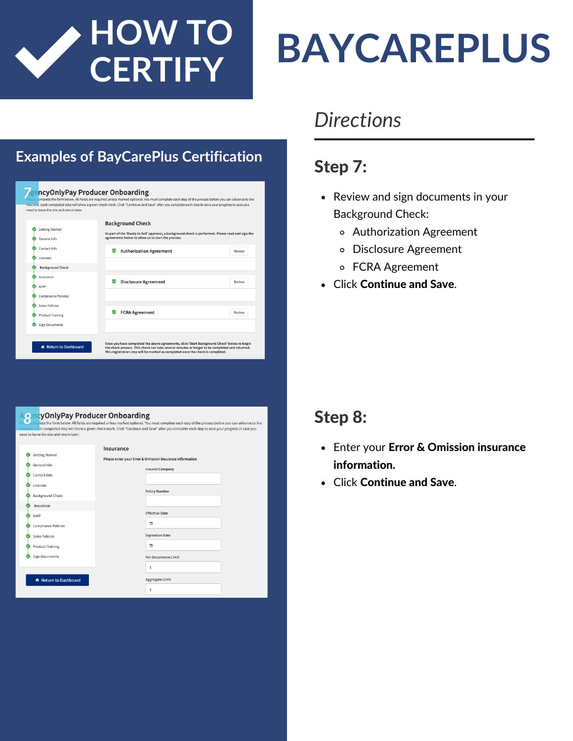

# **BAYCAREPLUS**

#### **Examples of BayCarePlus Certification**

|                            | <b>Background Check</b>                                                                            |        |
|----------------------------|----------------------------------------------------------------------------------------------------|--------|
| <b>Getting Started</b>     | As part of the 'Ready to Sell' approval, a background check is performed. Please read and sign the |        |
| General Info               | agreements below to allow us to start the process.                                                 |        |
| Contact Info               | <b>Authorization Agreement</b>                                                                     | Review |
| Licenses                   |                                                                                                    |        |
| <b>Background Check</b>    |                                                                                                    |        |
| Insurance                  |                                                                                                    |        |
| AHIP                       | <b>Disclosure Agreement</b>                                                                        | Review |
| <b>Compliance Policies</b> |                                                                                                    |        |
| Sales Policies             |                                                                                                    |        |
| <b>Product Training</b>    | <b>FCRA Agreement</b>                                                                              | Review |
| <b>Sign Documents</b>      |                                                                                                    |        |

| <b>AoncyOnlyPay Producer Onboarding</b><br>need to leave the site and return later.                                             | Plection plete the form below. All fields are required unless marked optional. You must complete each step of the process before you can advance to the<br>next one. Each completed step will show a green check mark. Click "Continue and Save" after you complete each step to save your progress in case you |
|---------------------------------------------------------------------------------------------------------------------------------|-----------------------------------------------------------------------------------------------------------------------------------------------------------------------------------------------------------------------------------------------------------------------------------------------------------------|
| <b>Getting Started</b><br>General Info<br>Contact Info<br>Licenses<br><b>Background Check</b><br>Insurance                      | Insurance<br>Please enter your Error & Omission insurance information<br><b>Insured Company</b><br><b>Policy Number</b>                                                                                                                                                                                         |
| AHIP<br><b>Compliance Policies</b><br>Sales Policies<br><b>Product Training</b><br><b>Sign Documents</b><br>Return to Dashboard | <b>Effective Date</b><br>茼<br><b>Expiration Date</b><br>₿<br>Per Occurrence Limit<br>Ś<br><b>Aggregate Limit</b><br>Ś                                                                                                                                                                                           |

# *Directions*

## Step 7:

- Review and sign documents in your Background Check:
	- Authorization Agreement
	- Disclosure Agreement
	- FCRA Agreement
- Click Continue and Save.

#### Step 8:

- Enter your Error & Omission insurance information.
- Click Continue and Save.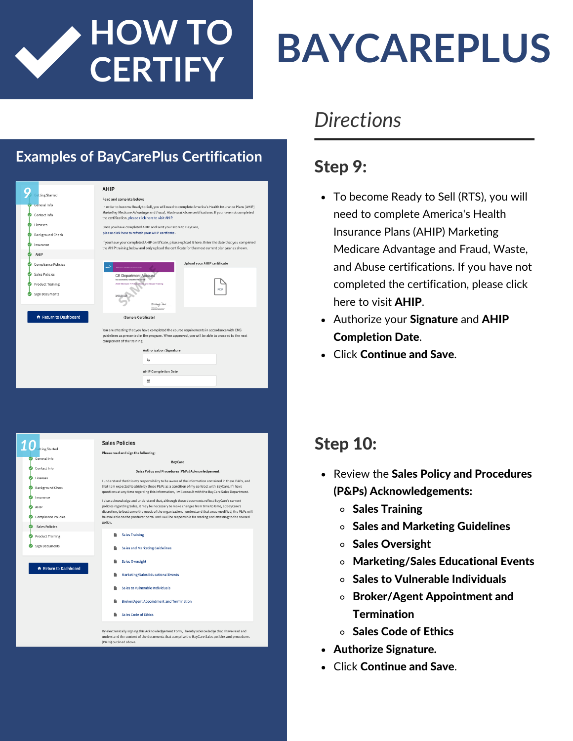

# **BAYCAREPLUS**

#### **Examples of BayCarePlus Certification**

|                                                                                                                                                                                                                          | AHIP                                                                                                                                                                                                                                                            |  |  |  |  |
|--------------------------------------------------------------------------------------------------------------------------------------------------------------------------------------------------------------------------|-----------------------------------------------------------------------------------------------------------------------------------------------------------------------------------------------------------------------------------------------------------------|--|--|--|--|
| ting Started                                                                                                                                                                                                             | Read and complete below:                                                                                                                                                                                                                                        |  |  |  |  |
| General Info<br>Contact Info                                                                                                                                                                                             | In order to become Ready to Sell, you will need to complete America's Health Insurance Plans (AHIP)<br>Marketing Medicare Advantage and Fraud, Waste and Abuse certifications. If you have not completed<br>the certification, please click here to visit AHIP. |  |  |  |  |
| Licenses<br><b>Background Check</b>                                                                                                                                                                                      | Once you have completed AHIP and sent your score to BayCare,<br>please click here to refresh your AHIP certficate.                                                                                                                                              |  |  |  |  |
| Insurance                                                                                                                                                                                                                | If you have your completed AHIP certificate, please upload it here. Enter the date that you completed<br>the AHIP training below and only upload the certificate for the most current plan year as shown.                                                       |  |  |  |  |
| AHIP                                                                                                                                                                                                                     |                                                                                                                                                                                                                                                                 |  |  |  |  |
| <b>Compliance Policies</b>                                                                                                                                                                                               | <b>Upload your AHIP certificate</b>                                                                                                                                                                                                                             |  |  |  |  |
| <b>Sales Policies</b>                                                                                                                                                                                                    | <b>CE Department Account</b>                                                                                                                                                                                                                                    |  |  |  |  |
| <b>Product Training</b><br><b>Sign Documents</b>                                                                                                                                                                         | 2020 Medicare + Fraud, Waste and Abuse Training<br>PDF                                                                                                                                                                                                          |  |  |  |  |
|                                                                                                                                                                                                                          |                                                                                                                                                                                                                                                                 |  |  |  |  |
| Return to Dashboard                                                                                                                                                                                                      | (Sample Certificate)                                                                                                                                                                                                                                            |  |  |  |  |
| You are attesting that you have completed the course requirements in accordance with CMS<br>guidelines as presented in the program. When approved, you will be able to proceed to the next<br>component of the training. |                                                                                                                                                                                                                                                                 |  |  |  |  |
|                                                                                                                                                                                                                          | <b>Authorization Signature</b>                                                                                                                                                                                                                                  |  |  |  |  |
|                                                                                                                                                                                                                          | $\iota_{\mathbf{a}}$                                                                                                                                                                                                                                            |  |  |  |  |
|                                                                                                                                                                                                                          | <b>AHIP Completion Date</b>                                                                                                                                                                                                                                     |  |  |  |  |
|                                                                                                                                                                                                                          | m                                                                                                                                                                                                                                                               |  |  |  |  |



# *Directions*

## Step 9:

- To become Ready to Sell (RTS), you will need to complete America's Health Insurance Plans (AHIP) Marketing Medicare Advantage and Fraud, Waste, and Abuse certifications. If you have not completed the [certification,](https://www.ahipmedicaretraining.com/clients/lumeris/baycarehealthplan) please click here to visit [AHIP](https://www.ahipmedicaretraining.com/clients/lumeris/baycarehealthplan).
- Authorize your Signature and AHIP Completion Date.
- Click Continue and Save.

## Step 10:

- Review the Sales Policy and Procedures (P&Ps) Acknowledgements:
	- $\circ$  Sales Training
	- Sales and Marketing Guidelines
	- o Sales Oversight
	- Marketing/Sales Educational Events
	- o Sales to Vulnerable Individuals
	- Broker/Agent Appointment and **Termination**
	- Sales Code of Ethics
- Authorize Signature.
- Click Continue and Save.